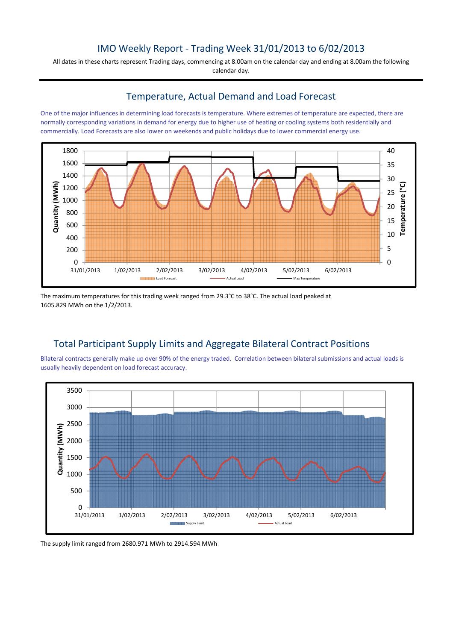## IMO Weekly Report - Trading Week 31/01/2013 to 6/02/2013

All dates in these charts represent Trading days, commencing at 8.00am on the calendar day and ending at 8.00am the following calendar day.

#### Temperature, Actual Demand and Load Forecast

One of the major influences in determining load forecasts is temperature. Where extremes of temperature are expected, there are normally corresponding variations in demand for energy due to higher use of heating or cooling systems both residentially and commercially. Load Forecasts are also lower on weekends and public holidays due to lower commercial energy use.



The maximum temperatures for this trading week ranged from 29.3°C to 38°C. The actual load peaked at 1605.829 MWh on the 1/2/2013.

# Total Participant Supply Limits and Aggregate Bilateral Contract Positions

Bilateral contracts generally make up over 90% of the energy traded. Correlation between bilateral submissions and actual loads is usually heavily dependent on load forecast accuracy.



The supply limit ranged from 2680.971 MWh to 2914.594 MWh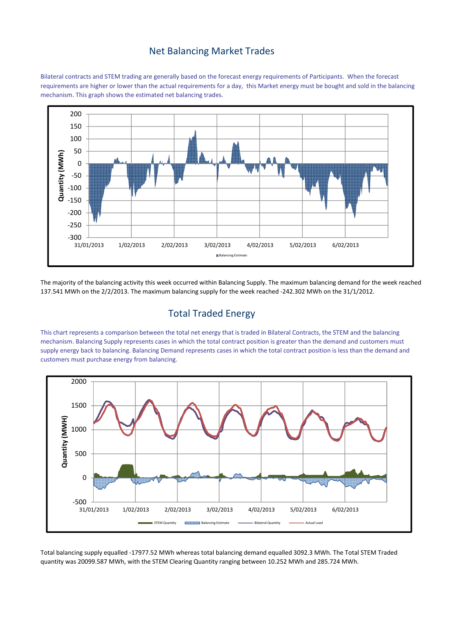#### Net Balancing Market Trades

Bilateral contracts and STEM trading are generally based on the forecast energy requirements of Participants. When the forecast requirements are higher or lower than the actual requirements for a day, this Market energy must be bought and sold in the balancing mechanism. This graph shows the estimated net balancing trades.



The majority of the balancing activity this week occurred within Balancing Supply. The maximum balancing demand for the week reached 137.541 MWh on the 2/2/2013. The maximum balancing supply for the week reached -242.302 MWh on the 31/1/2012.

## Total Traded Energy

This chart represents a comparison between the total net energy that is traded in Bilateral Contracts, the STEM and the balancing mechanism. Balancing Supply represents cases in which the total contract position is greater than the demand and customers must supply energy back to balancing. Balancing Demand represents cases in which the total contract position is less than the demand and customers must purchase energy from balancing.



Total balancing supply equalled -17977.52 MWh whereas total balancing demand equalled 3092.3 MWh. The Total STEM Traded quantity was 20099.587 MWh, with the STEM Clearing Quantity ranging between 10.252 MWh and 285.724 MWh.